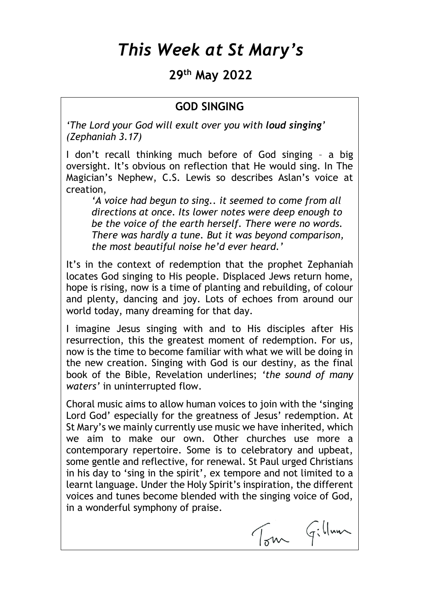# *This Week at St Mary's*

## **29 th May 2022**

#### **GOD SINGING**

*'The Lord your God will exult over you with loud singing' (Zephaniah 3.17)*

I don't recall thinking much before of God singing – a big oversight. It's obvious on reflection that He would sing. In The Magician's Nephew, C.S. Lewis so describes Aslan's voice at creation,

*'A voice had begun to sing.. it seemed to come from all directions at once. Its lower notes were deep enough to be the voice of the earth herself. There were no words. There was hardly a tune. But it was beyond comparison, the most beautiful noise he'd ever heard.'*

It's in the context of redemption that the prophet Zephaniah locates God singing to His people. Displaced Jews return home, hope is rising, now is a time of planting and rebuilding, of colour and plenty, dancing and joy. Lots of echoes from around our world today, many dreaming for that day.

I imagine Jesus singing with and to His disciples after His resurrection, this the greatest moment of redemption. For us, now is the time to become familiar with what we will be doing in the new creation. Singing with God is our destiny, as the final book of the Bible, Revelation underlines; *'the sound of many waters'* in uninterrupted flow.

Choral music aims to allow human voices to join with the 'singing Lord God' especially for the greatness of Jesus' redemption. At St Mary's we mainly currently use music we have inherited, which we aim to make our own. Other churches use more a contemporary repertoire. Some is to celebratory and upbeat, some gentle and reflective, for renewal. St Paul urged Christians in his day to 'sing in the spirit', ex tempore and not limited to a learnt language. Under the Holy Spirit's inspiration, the different voices and tunes become blended with the singing voice of God, in a wonderful symphony of praise.

Tom Gillaun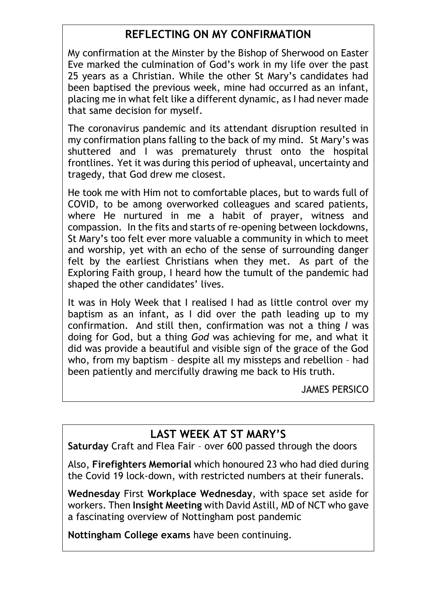## **REFLECTING ON MY CONFIRMATION**

My confirmation at the Minster by the Bishop of Sherwood on Easter Eve marked the culmination of God's work in my life over the past 25 years as a Christian. While the other St Mary's candidates had been baptised the previous week, mine had occurred as an infant, placing me in what felt like a different dynamic, as I had never made that same decision for myself.

The coronavirus pandemic and its attendant disruption resulted in my confirmation plans falling to the back of my mind. St Mary's was shuttered and I was prematurely thrust onto the hospital frontlines. Yet it was during this period of upheaval, uncertainty and tragedy, that God drew me closest.

He took me with Him not to comfortable places, but to wards full of COVID, to be among overworked colleagues and scared patients, where He nurtured in me a habit of prayer, witness and compassion. In the fits and starts of re-opening between lockdowns, St Mary's too felt ever more valuable a community in which to meet and worship, yet with an echo of the sense of surrounding danger felt by the earliest Christians when they met. As part of the Exploring Faith group, I heard how the tumult of the pandemic had shaped the other candidates' lives.

It was in Holy Week that I realised I had as little control over my baptism as an infant, as I did over the path leading up to my confirmation. And still then, confirmation was not a thing *I* was doing for God, but a thing *God* was achieving for me, and what it did was provide a beautiful and visible sign of the grace of the God who, from my baptism – despite all my missteps and rebellion – had been patiently and mercifully drawing me back to His truth.

JAMES PERSICO

## **LAST WEEK AT ST MARY'S**

**Saturday** Craft and Flea Fair – over 600 passed through the doors

Also, **Firefighters Memorial** which honoured 23 who had died during the Covid 19 lock-down, with restricted numbers at their funerals.

**Wednesday** First **Workplace Wednesday**, with space set aside for workers. Then **Insight Meeting** with David Astill, MD of NCT who gave a fascinating overview of Nottingham post pandemic

**Nottingham College exams** have been continuing.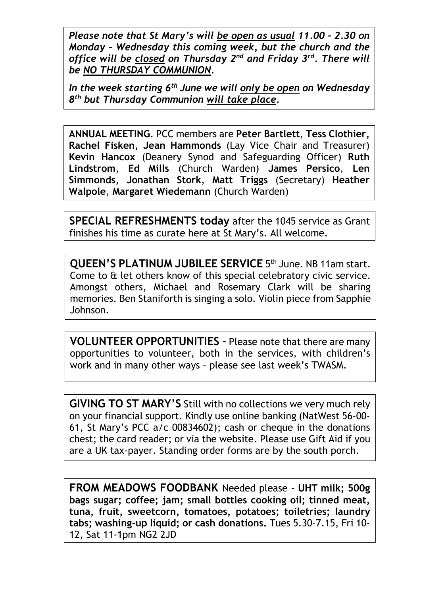*Please note that St Mary's will be open as usual 11.00 – 2.30 on Monday – Wednesday this coming week, but the church and the*  office will be closed on Thursday 2<sup>nd</sup> and Friday 3<sup>rd</sup>. There will *be NO THURSDAY COMMUNION.* 

*In the week starting 6th June we will only be open on Wednesday 8 th but Thursday Communion will take place.*

**ANNUAL MEETING**. PCC members are **Peter Bartlett**, **Tess Clothier, Rachel Fisken, Jean Hammonds** (Lay Vice Chair and Treasurer) **Kevin Hancox** (Deanery Synod and Safeguarding Officer) **Ruth Lindstrom**, **Ed Mills** (Church Warden) **James Persico**, **Len Simmonds**, **Jonathan Stork**, **Matt Triggs** (Secretary) **Heather Walpole**, **Margaret Wiedemann** (Church Warden)

**SPECIAL REFRESHMENTS today** after the 1045 service as Grant finishes his time as curate here at St Mary's. All welcome.

**QUEEN'S PLATINUM JUBILEE SERVICE 5th June. NB 11am start.** Come to & let others know of this special celebratory civic service. Amongst others, Michael and Rosemary Clark will be sharing memories. Ben Staniforth is singing a solo. Violin piece from Sapphie Johnson.

**VOLUNTEER OPPORTUNITIES –** Please note that there are many opportunities to volunteer, both in the services, with children's work and in many other ways – please see last week's TWASM.

**GIVING TO ST MARY'S** Still with no collections we very much rely on your financial support. Kindly use online banking (NatWest 56-00- 61, St Mary's PCC a/c 00834602); cash or cheque in the donations chest; the card reader; or via the website. Please use Gift Aid if you are a UK tax-payer. Standing order forms are by the south porch.

**FROM MEADOWS FOODBANK** Needed please - **UHT milk; 500g bags sugar; coffee; jam; small bottles cooking oil; tinned meat, tuna, fruit, sweetcorn, tomatoes, potatoes; toiletries; laundry tabs; washing-up liquid; or cash donations.** Tues 5.30–7.15, Fri 10- 12, Sat 11-1pm NG2 2JD